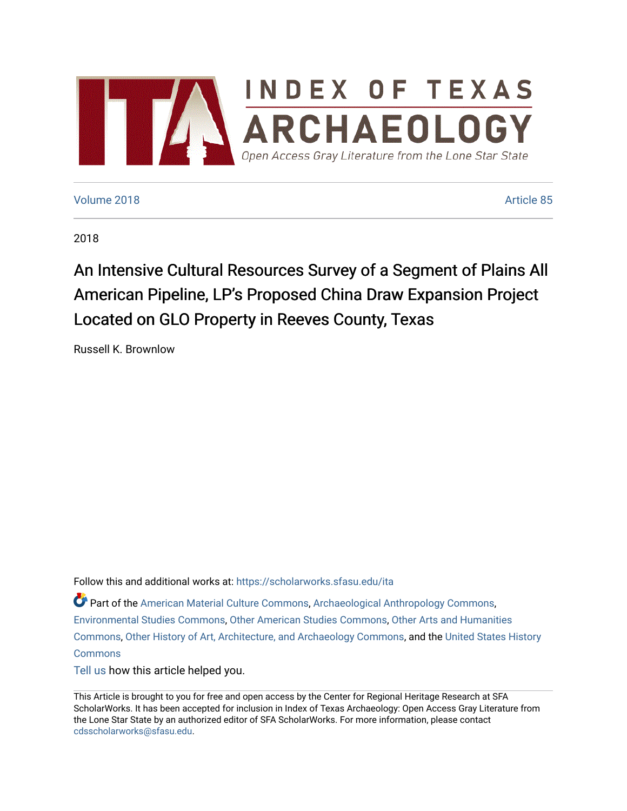

#### [Volume 2018](https://scholarworks.sfasu.edu/ita/vol2018) [Article 85](https://scholarworks.sfasu.edu/ita/vol2018/iss1/85)

2018

# An Intensive Cultural Resources Survey of a Segment of Plains All American Pipeline, LP's Proposed China Draw Expansion Project Located on GLO Property in Reeves County, Texas

Russell K. Brownlow

Follow this and additional works at: [https://scholarworks.sfasu.edu/ita](https://scholarworks.sfasu.edu/ita?utm_source=scholarworks.sfasu.edu%2Fita%2Fvol2018%2Fiss1%2F85&utm_medium=PDF&utm_campaign=PDFCoverPages) 

Part of the [American Material Culture Commons,](http://network.bepress.com/hgg/discipline/442?utm_source=scholarworks.sfasu.edu%2Fita%2Fvol2018%2Fiss1%2F85&utm_medium=PDF&utm_campaign=PDFCoverPages) [Archaeological Anthropology Commons,](http://network.bepress.com/hgg/discipline/319?utm_source=scholarworks.sfasu.edu%2Fita%2Fvol2018%2Fiss1%2F85&utm_medium=PDF&utm_campaign=PDFCoverPages) [Environmental Studies Commons,](http://network.bepress.com/hgg/discipline/1333?utm_source=scholarworks.sfasu.edu%2Fita%2Fvol2018%2Fiss1%2F85&utm_medium=PDF&utm_campaign=PDFCoverPages) [Other American Studies Commons](http://network.bepress.com/hgg/discipline/445?utm_source=scholarworks.sfasu.edu%2Fita%2Fvol2018%2Fiss1%2F85&utm_medium=PDF&utm_campaign=PDFCoverPages), [Other Arts and Humanities](http://network.bepress.com/hgg/discipline/577?utm_source=scholarworks.sfasu.edu%2Fita%2Fvol2018%2Fiss1%2F85&utm_medium=PDF&utm_campaign=PDFCoverPages) [Commons](http://network.bepress.com/hgg/discipline/577?utm_source=scholarworks.sfasu.edu%2Fita%2Fvol2018%2Fiss1%2F85&utm_medium=PDF&utm_campaign=PDFCoverPages), [Other History of Art, Architecture, and Archaeology Commons,](http://network.bepress.com/hgg/discipline/517?utm_source=scholarworks.sfasu.edu%2Fita%2Fvol2018%2Fiss1%2F85&utm_medium=PDF&utm_campaign=PDFCoverPages) and the [United States History](http://network.bepress.com/hgg/discipline/495?utm_source=scholarworks.sfasu.edu%2Fita%2Fvol2018%2Fiss1%2F85&utm_medium=PDF&utm_campaign=PDFCoverPages)  **[Commons](http://network.bepress.com/hgg/discipline/495?utm_source=scholarworks.sfasu.edu%2Fita%2Fvol2018%2Fiss1%2F85&utm_medium=PDF&utm_campaign=PDFCoverPages)** 

[Tell us](http://sfasu.qualtrics.com/SE/?SID=SV_0qS6tdXftDLradv) how this article helped you.

This Article is brought to you for free and open access by the Center for Regional Heritage Research at SFA ScholarWorks. It has been accepted for inclusion in Index of Texas Archaeology: Open Access Gray Literature from the Lone Star State by an authorized editor of SFA ScholarWorks. For more information, please contact [cdsscholarworks@sfasu.edu.](mailto:cdsscholarworks@sfasu.edu)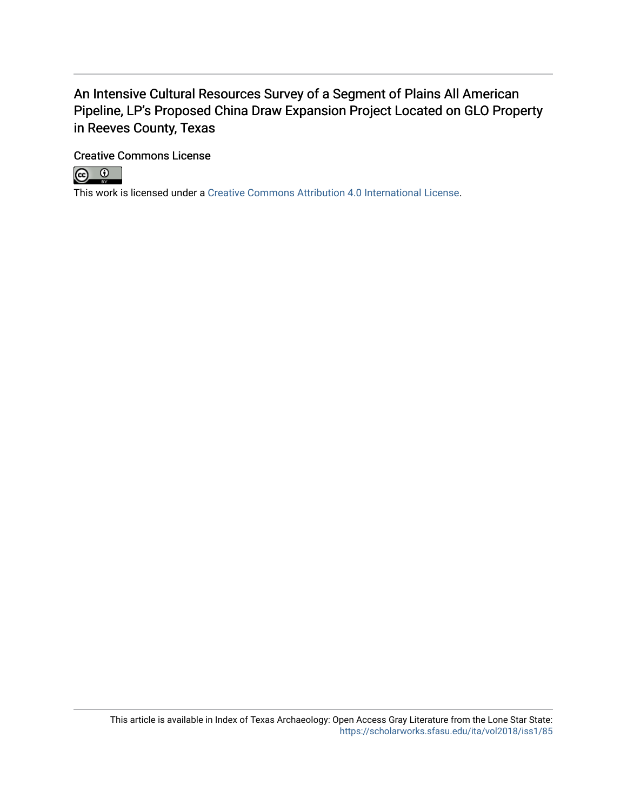### An Intensive Cultural Resources Survey of a Segment of Plains All American Pipeline, LP's Proposed China Draw Expansion Project Located on GLO Property in Reeves County, Texas

Creative Commons License



This work is licensed under a [Creative Commons Attribution 4.0 International License.](https://creativecommons.org/licenses/by/4.0/)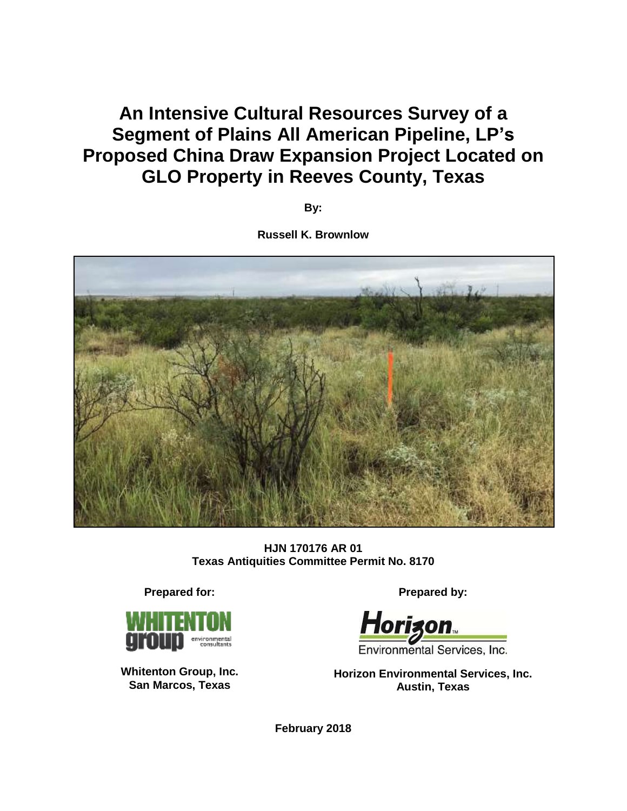# **An Intensive Cultural Resources Survey of a Segment of Plains All American Pipeline, LP's Proposed China Draw Expansion Project Located on GLO Property in Reeves County, Texas**

**By:**

**Russell K. Brownlow**



**HJN 170176 AR 01 Texas Antiquities Committee Permit No. 8170**

**Prepared for:**



**Whitenton Group, Inc. San Marcos, Texas**

**Prepared by:**

lorizon.

Environmental Services, Inc.

**Horizon Environmental Services, Inc. Austin, Texas**

**February 2018**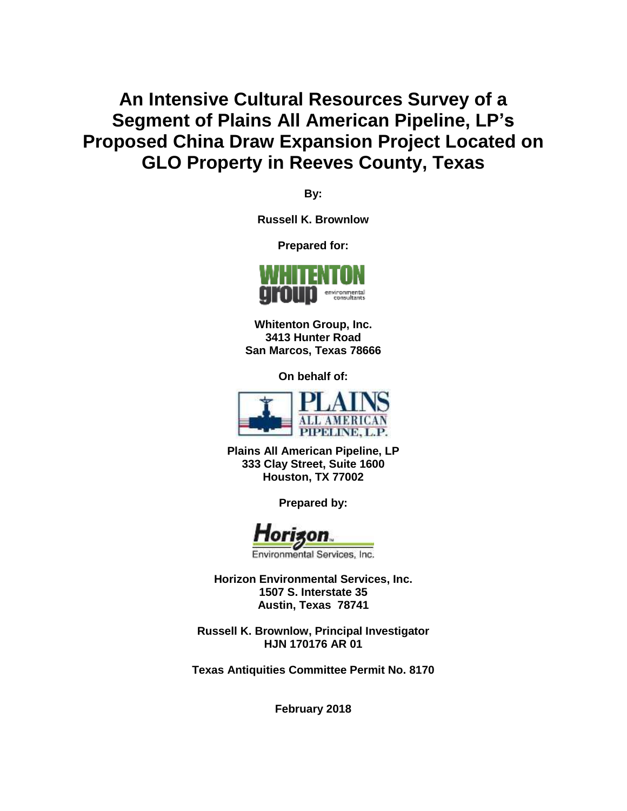# **An Intensive Cultural Resources Survey of a Segment of Plains All American Pipeline, LP's Proposed China Draw Expansion Project Located on GLO Property in Reeves County, Texas**

**By:**

**Russell K. Brownlow**

**Prepared for:**



**Whitenton Group, Inc. 3413 Hunter Road San Marcos, Texas 78666**

**On behalf of:**



**Plains All American Pipeline, LP 333 Clay Street, Suite 1600 Houston, TX 77002**

**Prepared by:**



Environmental Services, Inc.

**Horizon Environmental Services, Inc. 1507 S. Interstate 35 Austin, Texas 78741**

**Russell K. Brownlow, Principal Investigator HJN 170176 AR 01**

**Texas Antiquities Committee Permit No. 8170**

**February 2018**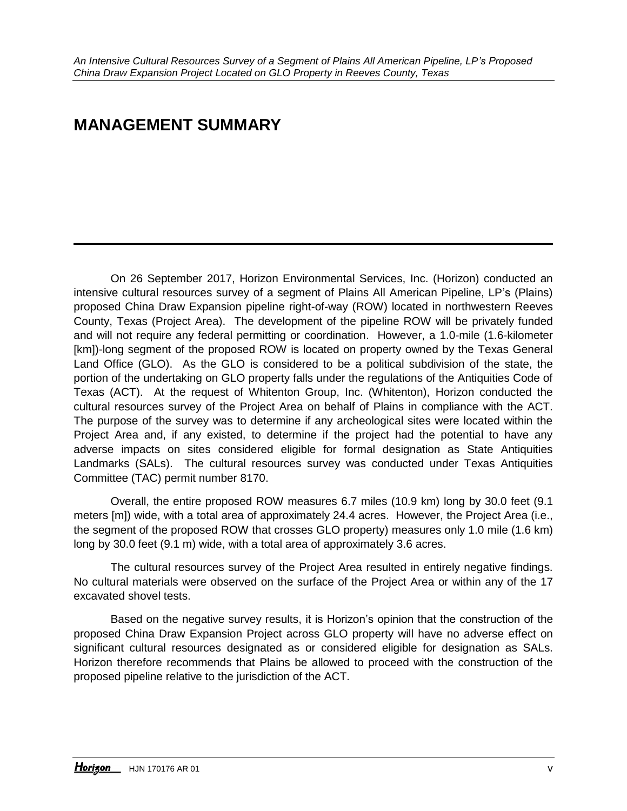### <span id="page-6-0"></span>**MANAGEMENT SUMMARY**

On 26 September 2017, Horizon Environmental Services, Inc. (Horizon) conducted an intensive cultural resources survey of a segment of Plains All American Pipeline, LP's (Plains) proposed China Draw Expansion pipeline right-of-way (ROW) located in northwestern Reeves County, Texas (Project Area). The development of the pipeline ROW will be privately funded and will not require any federal permitting or coordination. However, a 1.0-mile (1.6-kilometer [km])-long segment of the proposed ROW is located on property owned by the Texas General Land Office (GLO). As the GLO is considered to be a political subdivision of the state, the portion of the undertaking on GLO property falls under the regulations of the Antiquities Code of Texas (ACT). At the request of Whitenton Group, Inc. (Whitenton), Horizon conducted the cultural resources survey of the Project Area on behalf of Plains in compliance with the ACT. The purpose of the survey was to determine if any archeological sites were located within the Project Area and, if any existed, to determine if the project had the potential to have any adverse impacts on sites considered eligible for formal designation as State Antiquities Landmarks (SALs). The cultural resources survey was conducted under Texas Antiquities Committee (TAC) permit number 8170.

Overall, the entire proposed ROW measures 6.7 miles (10.9 km) long by 30.0 feet (9.1 meters [m]) wide, with a total area of approximately 24.4 acres. However, the Project Area (i.e., the segment of the proposed ROW that crosses GLO property) measures only 1.0 mile (1.6 km) long by 30.0 feet (9.1 m) wide, with a total area of approximately 3.6 acres.

The cultural resources survey of the Project Area resulted in entirely negative findings. No cultural materials were observed on the surface of the Project Area or within any of the 17 excavated shovel tests.

Based on the negative survey results, it is Horizon's opinion that the construction of the proposed China Draw Expansion Project across GLO property will have no adverse effect on significant cultural resources designated as or considered eligible for designation as SALs. Horizon therefore recommends that Plains be allowed to proceed with the construction of the proposed pipeline relative to the jurisdiction of the ACT.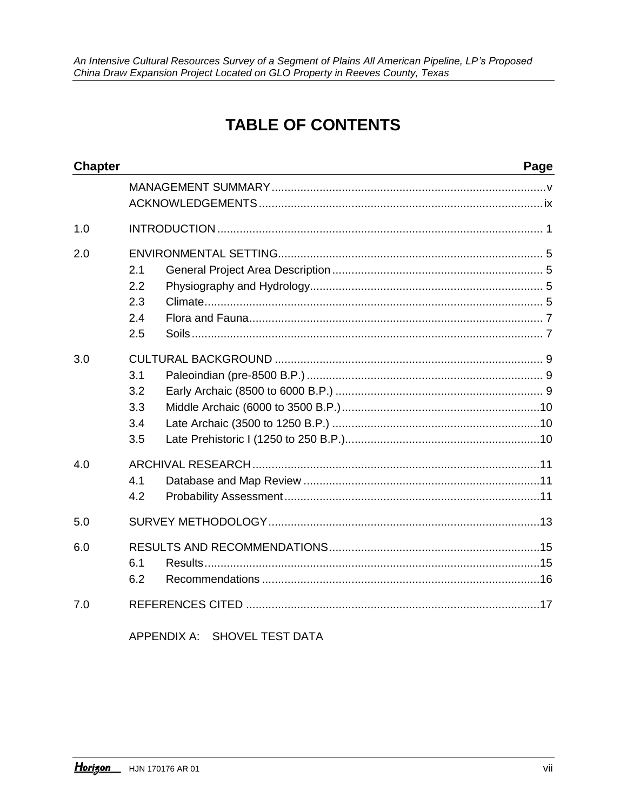## **TABLE OF CONTENTS**

| <b>Chapter</b> |                                               | Page |  |  |  |  |
|----------------|-----------------------------------------------|------|--|--|--|--|
|                |                                               |      |  |  |  |  |
| 1.0            |                                               |      |  |  |  |  |
| 2.0            | 2.1<br>2.2<br>2.3<br>2.4<br>2.5               |      |  |  |  |  |
| 3.0            | 3.1<br>3.2<br>3.3<br>3.4<br>3.5               |      |  |  |  |  |
| 4.0            | 4.1<br>4.2                                    |      |  |  |  |  |
| 5.0            |                                               |      |  |  |  |  |
| 6.0            | 6.1<br>6.2                                    |      |  |  |  |  |
| 7.0            | <b>SHOVEL TEST DATA</b><br><b>APPENDIX A:</b> |      |  |  |  |  |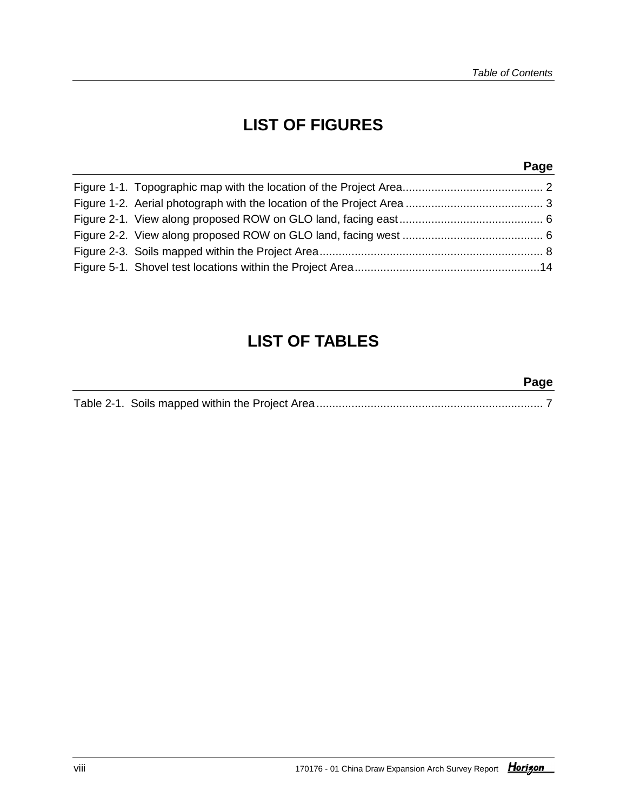### **LIST OF FIGURES**

### **Page**

### **LIST OF TABLES**

### **Page** [Table 2-1. Soils mapped within the Project Area.......................................................................](#page-18-2) 7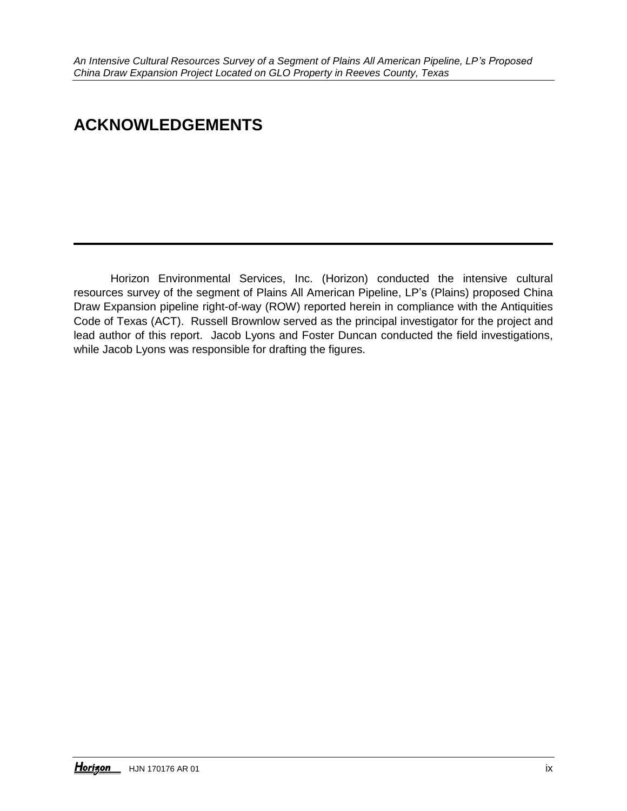# <span id="page-10-0"></span>**ACKNOWLEDGEMENTS**

Horizon Environmental Services, Inc. (Horizon) conducted the intensive cultural resources survey of the segment of Plains All American Pipeline, LP's (Plains) proposed China Draw Expansion pipeline right-of-way (ROW) reported herein in compliance with the Antiquities Code of Texas (ACT). Russell Brownlow served as the principal investigator for the project and lead author of this report. Jacob Lyons and Foster Duncan conducted the field investigations, while Jacob Lyons was responsible for drafting the figures.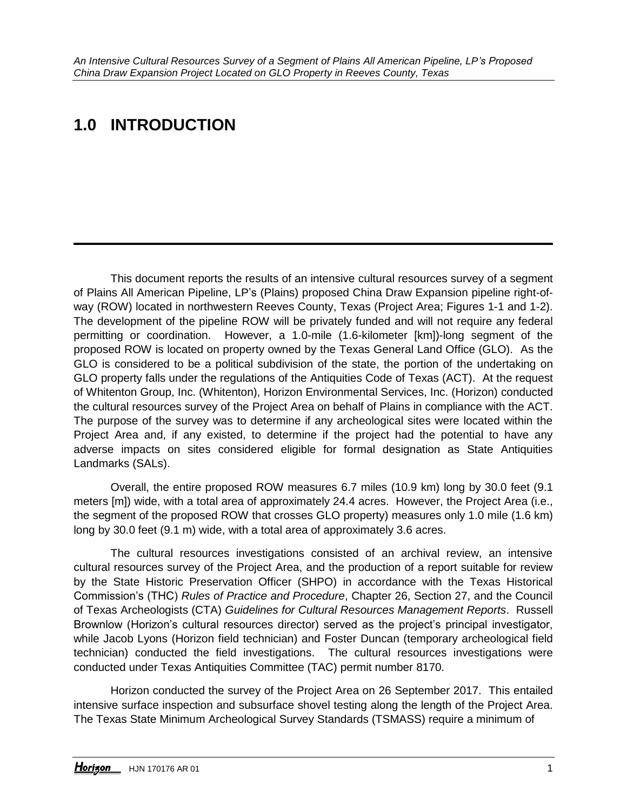# <span id="page-12-0"></span>**1.0 INTRODUCTION**

This document reports the results of an intensive cultural resources survey of a segment of Plains All American Pipeline, LP's (Plains) proposed China Draw Expansion pipeline right-ofway (ROW) located in northwestern Reeves County, Texas (Project Area; Figures 1-1 and 1-2). The development of the pipeline ROW will be privately funded and will not require any federal permitting or coordination. However, a 1.0-mile (1.6-kilometer [km])-long segment of the proposed ROW is located on property owned by the Texas General Land Office (GLO). As the GLO is considered to be a political subdivision of the state, the portion of the undertaking on GLO property falls under the regulations of the Antiquities Code of Texas (ACT). At the request of Whitenton Group, Inc. (Whitenton), Horizon Environmental Services, Inc. (Horizon) conducted the cultural resources survey of the Project Area on behalf of Plains in compliance with the ACT. The purpose of the survey was to determine if any archeological sites were located within the Project Area and, if any existed, to determine if the project had the potential to have any adverse impacts on sites considered eligible for formal designation as State Antiquities Landmarks (SALs).

Overall, the entire proposed ROW measures 6.7 miles (10.9 km) long by 30.0 feet (9.1 meters [m]) wide, with a total area of approximately 24.4 acres. However, the Project Area (i.e., the segment of the proposed ROW that crosses GLO property) measures only 1.0 mile (1.6 km) long by 30.0 feet (9.1 m) wide, with a total area of approximately 3.6 acres.

The cultural resources investigations consisted of an archival review, an intensive cultural resources survey of the Project Area, and the production of a report suitable for review by the State Historic Preservation Officer (SHPO) in accordance with the Texas Historical Commission's (THC) *Rules of Practice and Procedure*, Chapter 26, Section 27, and the Council of Texas Archeologists (CTA) *Guidelines for Cultural Resources Management Reports*. Russell Brownlow (Horizon's cultural resources director) served as the project's principal investigator, while Jacob Lyons (Horizon field technician) and Foster Duncan (temporary archeological field technician) conducted the field investigations. The cultural resources investigations were conducted under Texas Antiquities Committee (TAC) permit number 8170.

Horizon conducted the survey of the Project Area on 26 September 2017. This entailed intensive surface inspection and subsurface shovel testing along the length of the Project Area. The Texas State Minimum Archeological Survey Standards (TSMASS) require a minimum of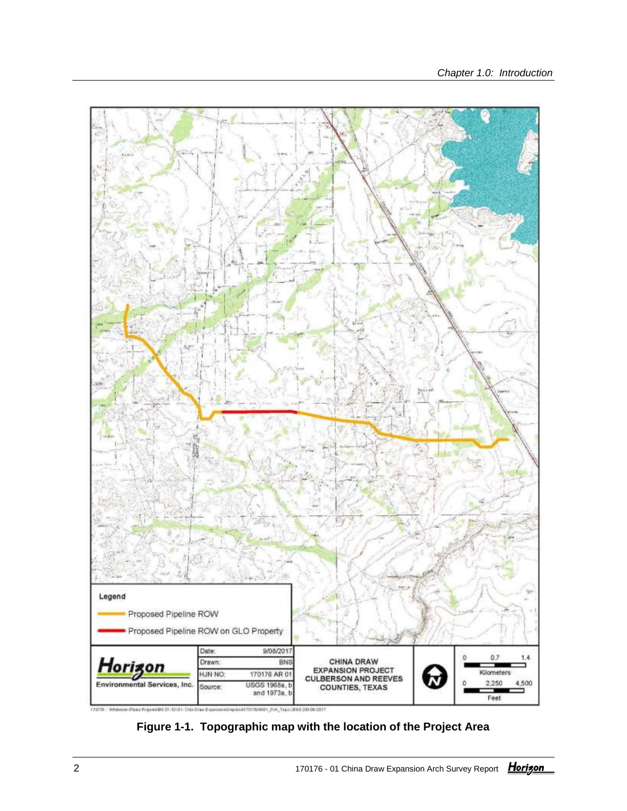

<span id="page-13-0"></span>**Figure 1-1. Topographic map with the location of the Project Area**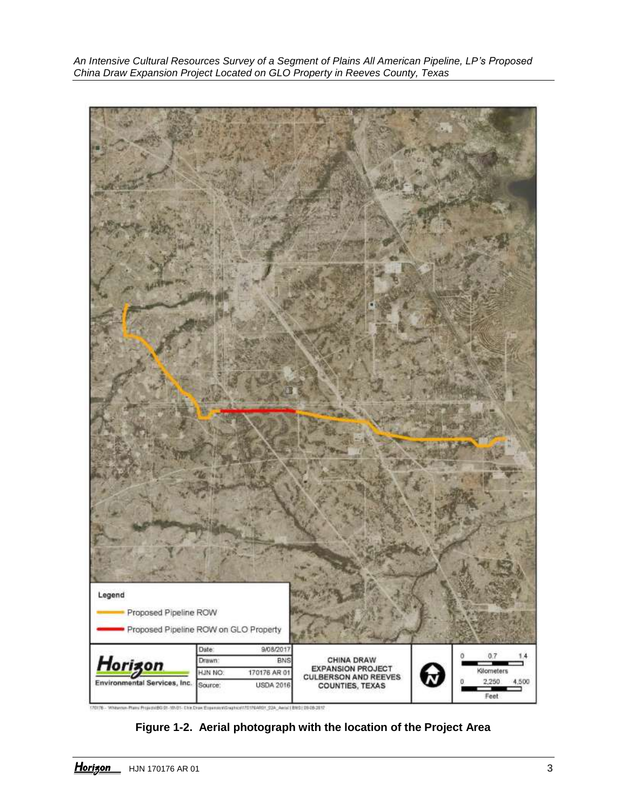*An Intensive Cultural Resources Survey of a Segment of Plains All American Pipeline, LP's Proposed China Draw Expansion Project Located on GLO Property in Reeves County, Texas*

<span id="page-14-0"></span>

**Figure 1-2. Aerial photograph with the location of the Project Area**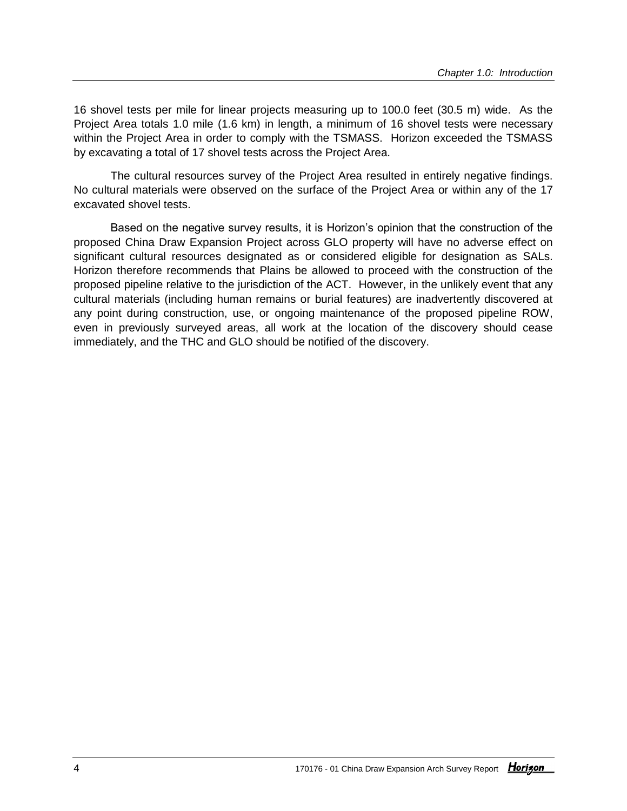16 shovel tests per mile for linear projects measuring up to 100.0 feet (30.5 m) wide. As the Project Area totals 1.0 mile (1.6 km) in length, a minimum of 16 shovel tests were necessary within the Project Area in order to comply with the TSMASS. Horizon exceeded the TSMASS by excavating a total of 17 shovel tests across the Project Area.

The cultural resources survey of the Project Area resulted in entirely negative findings. No cultural materials were observed on the surface of the Project Area or within any of the 17 excavated shovel tests.

Based on the negative survey results, it is Horizon's opinion that the construction of the proposed China Draw Expansion Project across GLO property will have no adverse effect on significant cultural resources designated as or considered eligible for designation as SALs. Horizon therefore recommends that Plains be allowed to proceed with the construction of the proposed pipeline relative to the jurisdiction of the ACT. However, in the unlikely event that any cultural materials (including human remains or burial features) are inadvertently discovered at any point during construction, use, or ongoing maintenance of the proposed pipeline ROW, even in previously surveyed areas, all work at the location of the discovery should cease immediately, and the THC and GLO should be notified of the discovery.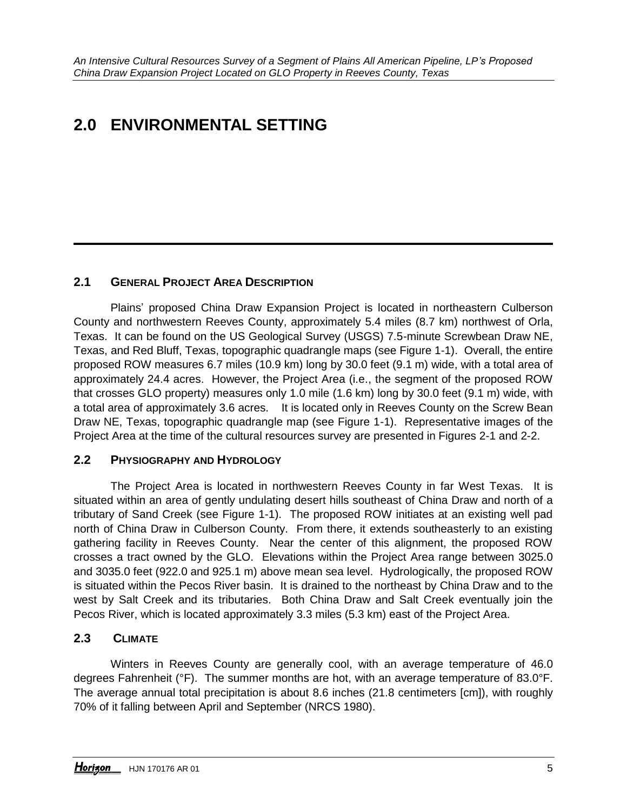### <span id="page-16-0"></span>**2.0 ENVIRONMENTAL SETTING**

#### <span id="page-16-1"></span>**2.1 GENERAL PROJECT AREA DESCRIPTION**

Plains' proposed China Draw Expansion Project is located in northeastern Culberson County and northwestern Reeves County, approximately 5.4 miles (8.7 km) northwest of Orla, Texas. It can be found on the US Geological Survey (USGS) 7.5-minute Screwbean Draw NE, Texas, and Red Bluff, Texas, topographic quadrangle maps (see Figure 1-1). Overall, the entire proposed ROW measures 6.7 miles (10.9 km) long by 30.0 feet (9.1 m) wide, with a total area of approximately 24.4 acres. However, the Project Area (i.e., the segment of the proposed ROW that crosses GLO property) measures only 1.0 mile (1.6 km) long by 30.0 feet (9.1 m) wide, with a total area of approximately 3.6 acres. It is located only in Reeves County on the Screw Bean Draw NE, Texas, topographic quadrangle map (see Figure 1-1). Representative images of the Project Area at the time of the cultural resources survey are presented in Figures 2-1 and 2-2.

#### <span id="page-16-2"></span>**2.2 PHYSIOGRAPHY AND HYDROLOGY**

The Project Area is located in northwestern Reeves County in far West Texas. It is situated within an area of gently undulating desert hills southeast of China Draw and north of a tributary of Sand Creek (see Figure 1-1). The proposed ROW initiates at an existing well pad north of China Draw in Culberson County. From there, it extends southeasterly to an existing gathering facility in Reeves County. Near the center of this alignment, the proposed ROW crosses a tract owned by the GLO. Elevations within the Project Area range between 3025.0 and 3035.0 feet (922.0 and 925.1 m) above mean sea level. Hydrologically, the proposed ROW is situated within the Pecos River basin. It is drained to the northeast by China Draw and to the west by Salt Creek and its tributaries. Both China Draw and Salt Creek eventually join the Pecos River, which is located approximately 3.3 miles (5.3 km) east of the Project Area.

#### <span id="page-16-3"></span>**2.3 CLIMATE**

Winters in Reeves County are generally cool, with an average temperature of 46.0 degrees Fahrenheit (°F). The summer months are hot, with an average temperature of 83.0°F. The average annual total precipitation is about 8.6 inches (21.8 centimeters [cm]), with roughly 70% of it falling between April and September (NRCS 1980).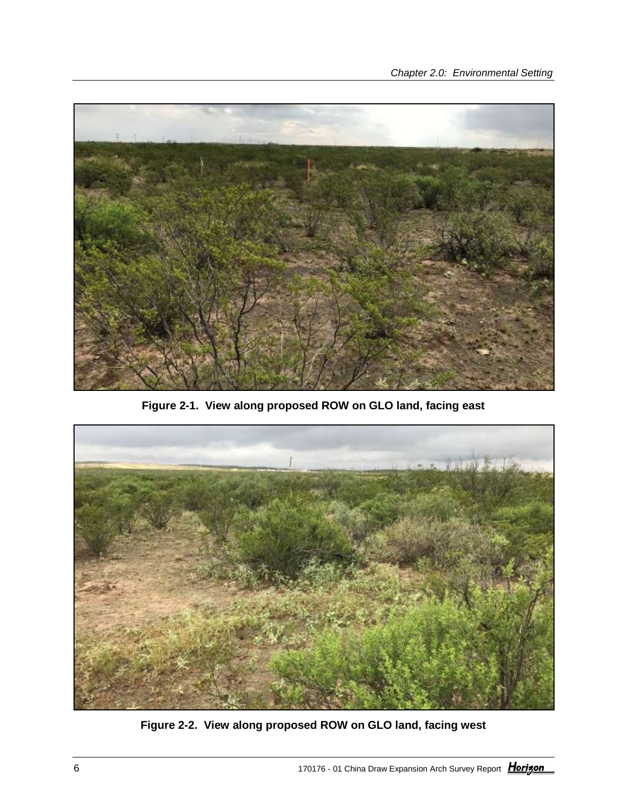

**Figure 2-1. View along proposed ROW on GLO land, facing east**

<span id="page-17-1"></span><span id="page-17-0"></span>

**Figure 2-2. View along proposed ROW on GLO land, facing west**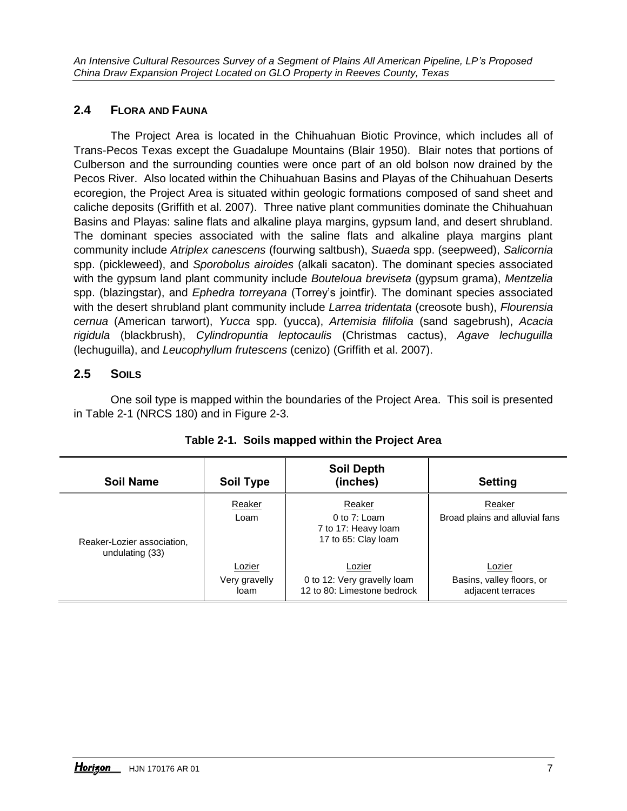### <span id="page-18-0"></span>**2.4 FLORA AND FAUNA**

The Project Area is located in the Chihuahuan Biotic Province, which includes all of Trans-Pecos Texas except the Guadalupe Mountains (Blair 1950). Blair notes that portions of Culberson and the surrounding counties were once part of an old bolson now drained by the Pecos River. Also located within the Chihuahuan Basins and Playas of the Chihuahuan Deserts ecoregion, the Project Area is situated within geologic formations composed of sand sheet and caliche deposits (Griffith et al. 2007). Three native plant communities dominate the Chihuahuan Basins and Playas: saline flats and alkaline playa margins, gypsum land, and desert shrubland. The dominant species associated with the saline flats and alkaline playa margins plant community include *Atriplex canescens* (fourwing saltbush), *Suaeda* spp. (seepweed), *Salicornia*  spp. (pickleweed), and *Sporobolus airoides* (alkali sacaton). The dominant species associated with the gypsum land plant community include *Bouteloua breviseta* (gypsum grama), *Mentzelia*  spp. (blazingstar), and *Ephedra torreyana* (Torrey's jointfir). The dominant species associated with the desert shrubland plant community include *Larrea tridentata* (creosote bush), *Flourensia cernua* (American tarwort), *Yucca* spp. (yucca), *Artemisia filifolia* (sand sagebrush), *Acacia rigidula* (blackbrush), *Cylindropuntia leptocaulis* (Christmas cactus), *Agave lechuguilla*  (lechuguilla), and *Leucophyllum frutescens* (cenizo) (Griffith et al. 2007).

### <span id="page-18-1"></span>**2.5 SOILS**

One soil type is mapped within the boundaries of the Project Area. This soil is presented in Table 2-1 (NRCS 180) and in Figure 2-3.

<span id="page-18-2"></span>

| <b>Soil Name</b>                              | <b>Soil Type</b>      | <b>Soil Depth</b><br>(inches)                                | <b>Setting</b>                                 |
|-----------------------------------------------|-----------------------|--------------------------------------------------------------|------------------------------------------------|
|                                               | Reaker                | Reaker                                                       | Reaker                                         |
| Reaker-Lozier association,<br>undulating (33) | Loam                  | 0 to $7:$ Loam<br>7 to 17: Heavy loam<br>17 to 65: Clay loam | Broad plains and alluvial fans                 |
|                                               | Lozier                | Lozier                                                       | Lozier                                         |
|                                               | Very gravelly<br>loam | 0 to 12: Very gravelly loam<br>12 to 80: Limestone bedrock   | Basins, valley floors, or<br>adjacent terraces |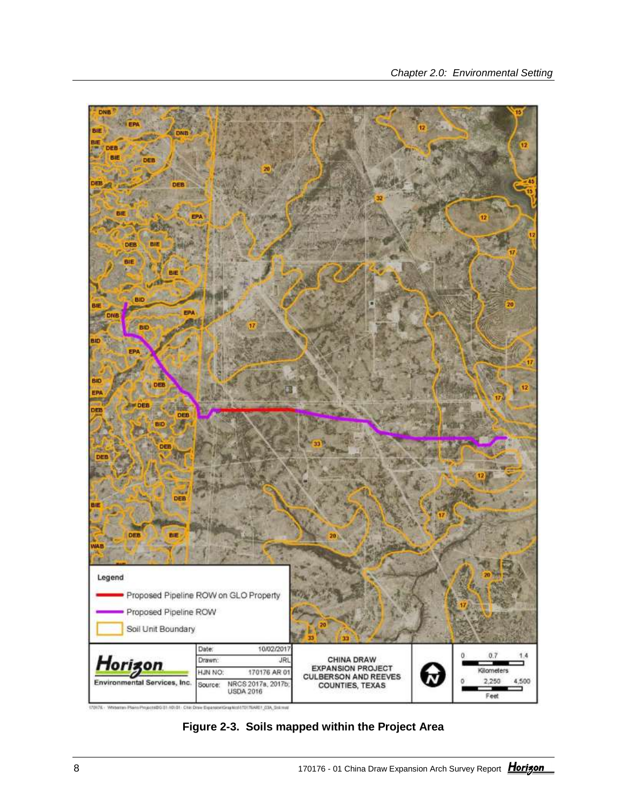

<span id="page-19-0"></span>**Figure 2-3. Soils mapped within the Project Area**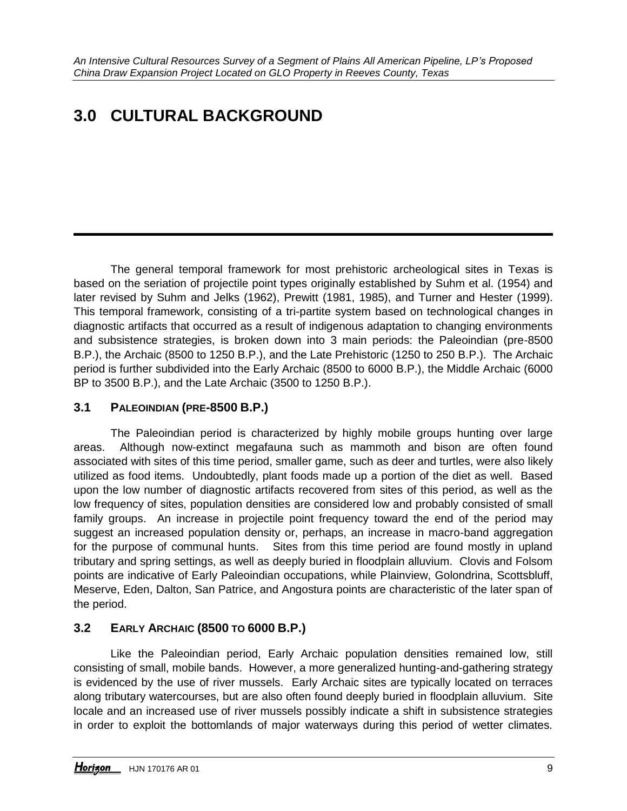# <span id="page-20-0"></span>**3.0 CULTURAL BACKGROUND**

The general temporal framework for most prehistoric archeological sites in Texas is based on the seriation of projectile point types originally established by Suhm et al. (1954) and later revised by Suhm and Jelks (1962), Prewitt (1981, 1985), and Turner and Hester (1999). This temporal framework, consisting of a tri-partite system based on technological changes in diagnostic artifacts that occurred as a result of indigenous adaptation to changing environments and subsistence strategies, is broken down into 3 main periods: the Paleoindian (pre-8500 B.P.), the Archaic (8500 to 1250 B.P.), and the Late Prehistoric (1250 to 250 B.P.). The Archaic period is further subdivided into the Early Archaic (8500 to 6000 B.P.), the Middle Archaic (6000 BP to 3500 B.P.), and the Late Archaic (3500 to 1250 B.P.).

#### <span id="page-20-1"></span>**3.1 PALEOINDIAN (PRE-8500 B.P.)**

The Paleoindian period is characterized by highly mobile groups hunting over large areas. Although now-extinct megafauna such as mammoth and bison are often found associated with sites of this time period, smaller game, such as deer and turtles, were also likely utilized as food items. Undoubtedly, plant foods made up a portion of the diet as well. Based upon the low number of diagnostic artifacts recovered from sites of this period, as well as the low frequency of sites, population densities are considered low and probably consisted of small family groups. An increase in projectile point frequency toward the end of the period may suggest an increased population density or, perhaps, an increase in macro-band aggregation for the purpose of communal hunts. Sites from this time period are found mostly in upland tributary and spring settings, as well as deeply buried in floodplain alluvium. Clovis and Folsom points are indicative of Early Paleoindian occupations, while Plainview, Golondrina, Scottsbluff, Meserve, Eden, Dalton, San Patrice, and Angostura points are characteristic of the later span of the period.

### <span id="page-20-2"></span>**3.2 EARLY ARCHAIC (8500 TO 6000 B.P.)**

Like the Paleoindian period, Early Archaic population densities remained low, still consisting of small, mobile bands. However, a more generalized hunting-and-gathering strategy is evidenced by the use of river mussels. Early Archaic sites are typically located on terraces along tributary watercourses, but are also often found deeply buried in floodplain alluvium. Site locale and an increased use of river mussels possibly indicate a shift in subsistence strategies in order to exploit the bottomlands of major waterways during this period of wetter climates.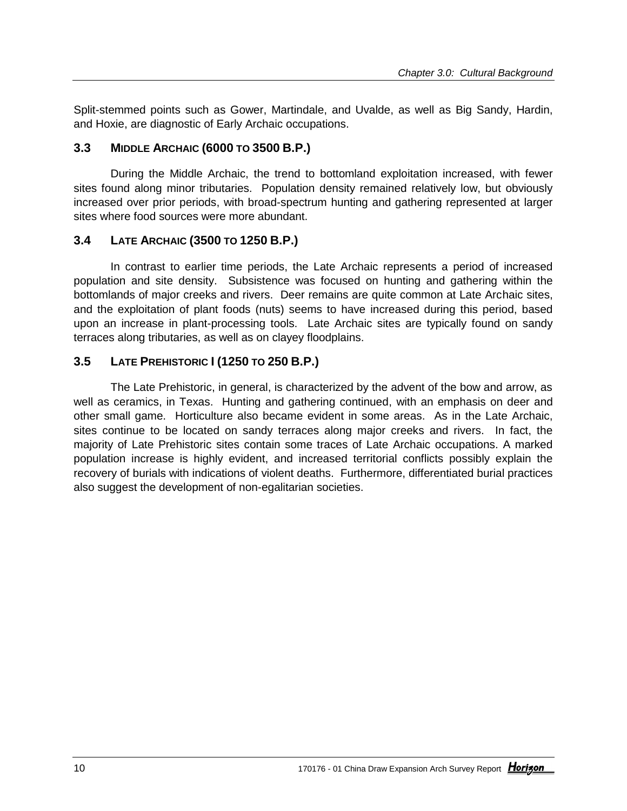Split-stemmed points such as Gower, Martindale, and Uvalde, as well as Big Sandy, Hardin, and Hoxie, are diagnostic of Early Archaic occupations.

#### <span id="page-21-0"></span>**3.3 MIDDLE ARCHAIC (6000 TO 3500 B.P.)**

During the Middle Archaic, the trend to bottomland exploitation increased, with fewer sites found along minor tributaries. Population density remained relatively low, but obviously increased over prior periods, with broad-spectrum hunting and gathering represented at larger sites where food sources were more abundant.

#### <span id="page-21-1"></span>**3.4 LATE ARCHAIC (3500 TO 1250 B.P.)**

In contrast to earlier time periods, the Late Archaic represents a period of increased population and site density. Subsistence was focused on hunting and gathering within the bottomlands of major creeks and rivers. Deer remains are quite common at Late Archaic sites, and the exploitation of plant foods (nuts) seems to have increased during this period, based upon an increase in plant-processing tools. Late Archaic sites are typically found on sandy terraces along tributaries, as well as on clayey floodplains.

#### <span id="page-21-2"></span>**3.5 LATE PREHISTORIC I (1250 TO 250 B.P.)**

The Late Prehistoric, in general, is characterized by the advent of the bow and arrow, as well as ceramics, in Texas. Hunting and gathering continued, with an emphasis on deer and other small game. Horticulture also became evident in some areas. As in the Late Archaic, sites continue to be located on sandy terraces along major creeks and rivers. In fact, the majority of Late Prehistoric sites contain some traces of Late Archaic occupations. A marked population increase is highly evident, and increased territorial conflicts possibly explain the recovery of burials with indications of violent deaths. Furthermore, differentiated burial practices also suggest the development of non-egalitarian societies.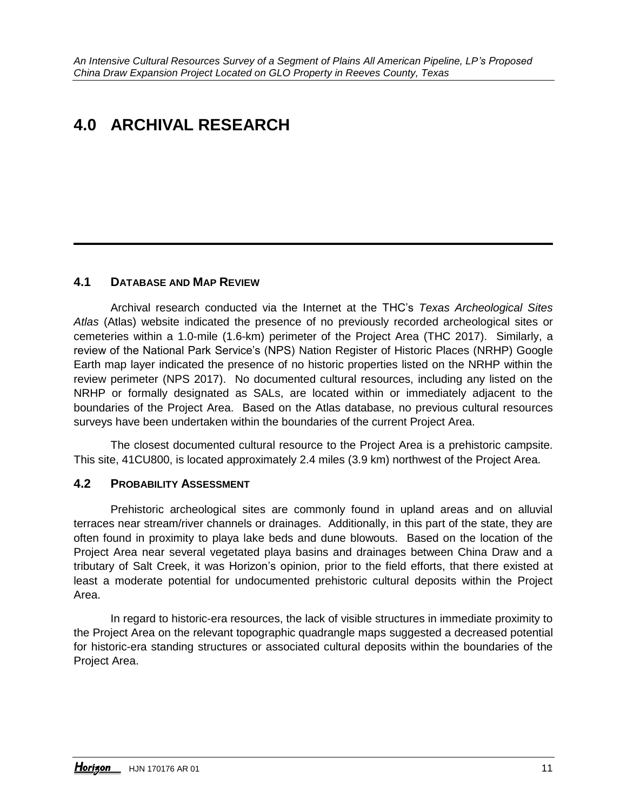### <span id="page-22-0"></span>**4.0 ARCHIVAL RESEARCH**

#### <span id="page-22-1"></span>**4.1 DATABASE AND MAP REVIEW**

Archival research conducted via the Internet at the THC's *Texas Archeological Sites Atlas* (Atlas) website indicated the presence of no previously recorded archeological sites or cemeteries within a 1.0-mile (1.6-km) perimeter of the Project Area (THC 2017). Similarly, a review of the National Park Service's (NPS) Nation Register of Historic Places (NRHP) Google Earth map layer indicated the presence of no historic properties listed on the NRHP within the review perimeter (NPS 2017). No documented cultural resources, including any listed on the NRHP or formally designated as SALs, are located within or immediately adjacent to the boundaries of the Project Area. Based on the Atlas database, no previous cultural resources surveys have been undertaken within the boundaries of the current Project Area.

The closest documented cultural resource to the Project Area is a prehistoric campsite. This site, 41CU800, is located approximately 2.4 miles (3.9 km) northwest of the Project Area.

#### <span id="page-22-2"></span>**4.2 PROBABILITY ASSESSMENT**

Prehistoric archeological sites are commonly found in upland areas and on alluvial terraces near stream/river channels or drainages. Additionally, in this part of the state, they are often found in proximity to playa lake beds and dune blowouts. Based on the location of the Project Area near several vegetated playa basins and drainages between China Draw and a tributary of Salt Creek, it was Horizon's opinion, prior to the field efforts, that there existed at least a moderate potential for undocumented prehistoric cultural deposits within the Project Area.

In regard to historic-era resources, the lack of visible structures in immediate proximity to the Project Area on the relevant topographic quadrangle maps suggested a decreased potential for historic-era standing structures or associated cultural deposits within the boundaries of the Project Area.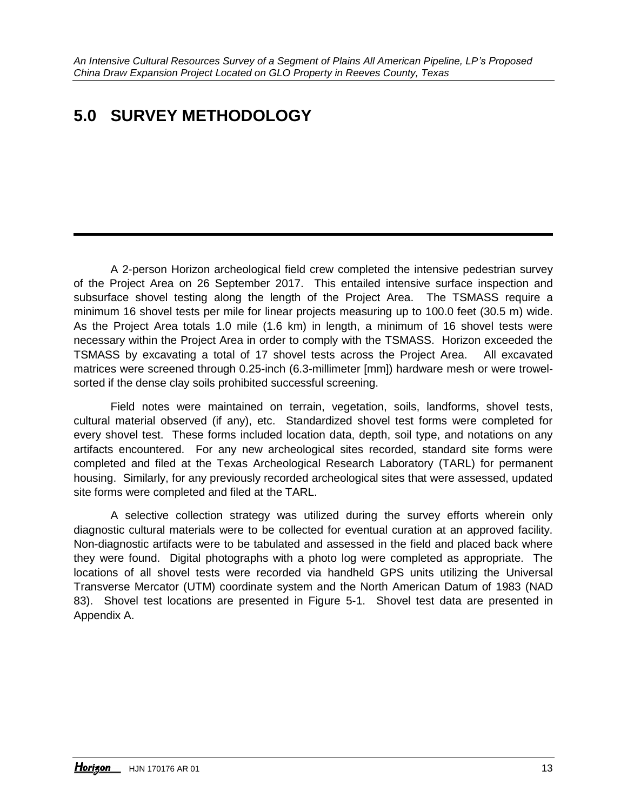### <span id="page-24-0"></span>**5.0 SURVEY METHODOLOGY**

A 2-person Horizon archeological field crew completed the intensive pedestrian survey of the Project Area on 26 September 2017. This entailed intensive surface inspection and subsurface shovel testing along the length of the Project Area. The TSMASS require a minimum 16 shovel tests per mile for linear projects measuring up to 100.0 feet (30.5 m) wide. As the Project Area totals 1.0 mile (1.6 km) in length, a minimum of 16 shovel tests were necessary within the Project Area in order to comply with the TSMASS. Horizon exceeded the TSMASS by excavating a total of 17 shovel tests across the Project Area. All excavated matrices were screened through 0.25-inch (6.3-millimeter [mm]) hardware mesh or were trowelsorted if the dense clay soils prohibited successful screening.

Field notes were maintained on terrain, vegetation, soils, landforms, shovel tests, cultural material observed (if any), etc. Standardized shovel test forms were completed for every shovel test. These forms included location data, depth, soil type, and notations on any artifacts encountered. For any new archeological sites recorded, standard site forms were completed and filed at the Texas Archeological Research Laboratory (TARL) for permanent housing. Similarly, for any previously recorded archeological sites that were assessed, updated site forms were completed and filed at the TARL.

A selective collection strategy was utilized during the survey efforts wherein only diagnostic cultural materials were to be collected for eventual curation at an approved facility. Non-diagnostic artifacts were to be tabulated and assessed in the field and placed back where they were found. Digital photographs with a photo log were completed as appropriate. The locations of all shovel tests were recorded via handheld GPS units utilizing the Universal Transverse Mercator (UTM) coordinate system and the North American Datum of 1983 (NAD 83). Shovel test locations are presented in Figure 5-1. Shovel test data are presented in Appendix A.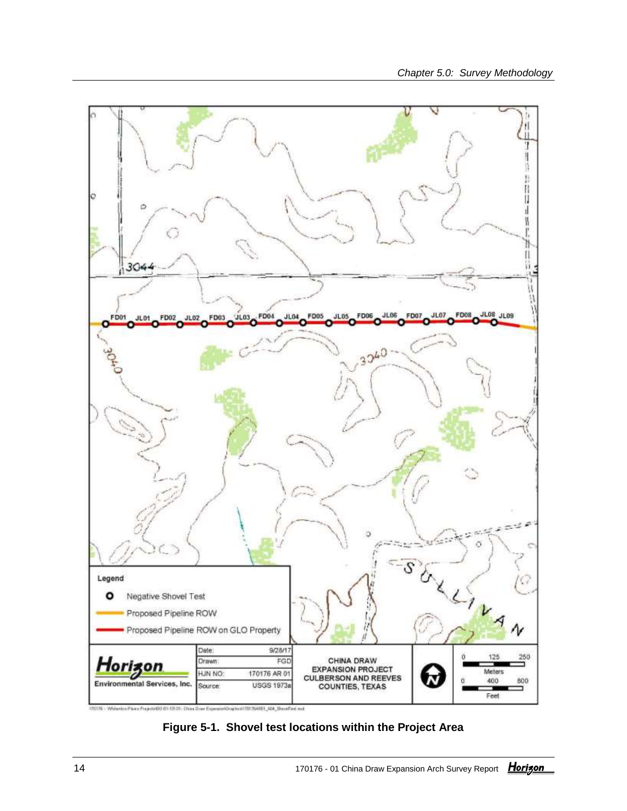

<span id="page-25-0"></span>**Figure 5-1. Shovel test locations within the Project Area**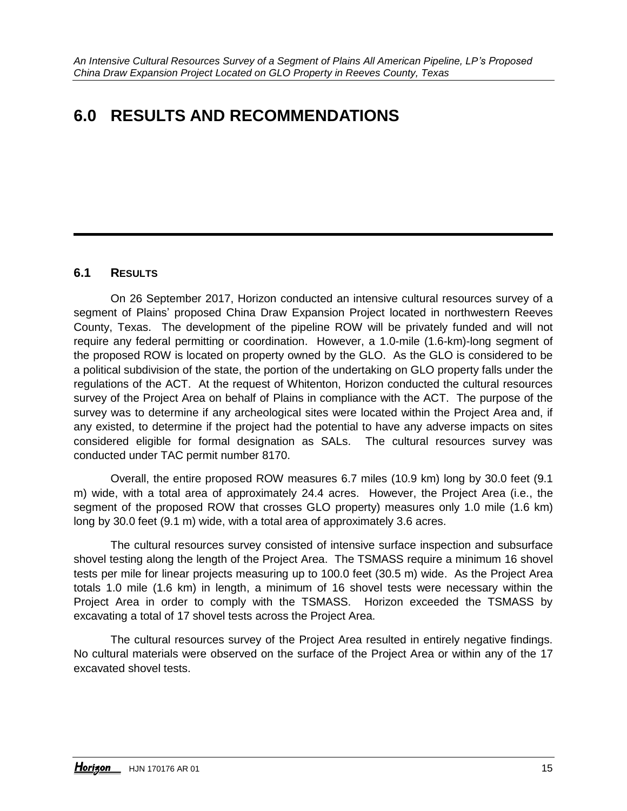### <span id="page-26-0"></span>**6.0 RESULTS AND RECOMMENDATIONS**

#### <span id="page-26-1"></span>**6.1 RESULTS**

On 26 September 2017, Horizon conducted an intensive cultural resources survey of a segment of Plains' proposed China Draw Expansion Project located in northwestern Reeves County, Texas. The development of the pipeline ROW will be privately funded and will not require any federal permitting or coordination. However, a 1.0-mile (1.6-km)-long segment of the proposed ROW is located on property owned by the GLO. As the GLO is considered to be a political subdivision of the state, the portion of the undertaking on GLO property falls under the regulations of the ACT. At the request of Whitenton, Horizon conducted the cultural resources survey of the Project Area on behalf of Plains in compliance with the ACT. The purpose of the survey was to determine if any archeological sites were located within the Project Area and, if any existed, to determine if the project had the potential to have any adverse impacts on sites considered eligible for formal designation as SALs. The cultural resources survey was conducted under TAC permit number 8170.

Overall, the entire proposed ROW measures 6.7 miles (10.9 km) long by 30.0 feet (9.1 m) wide, with a total area of approximately 24.4 acres. However, the Project Area (i.e., the segment of the proposed ROW that crosses GLO property) measures only 1.0 mile (1.6 km) long by 30.0 feet (9.1 m) wide, with a total area of approximately 3.6 acres.

The cultural resources survey consisted of intensive surface inspection and subsurface shovel testing along the length of the Project Area. The TSMASS require a minimum 16 shovel tests per mile for linear projects measuring up to 100.0 feet (30.5 m) wide. As the Project Area totals 1.0 mile (1.6 km) in length, a minimum of 16 shovel tests were necessary within the Project Area in order to comply with the TSMASS. Horizon exceeded the TSMASS by excavating a total of 17 shovel tests across the Project Area.

The cultural resources survey of the Project Area resulted in entirely negative findings. No cultural materials were observed on the surface of the Project Area or within any of the 17 excavated shovel tests.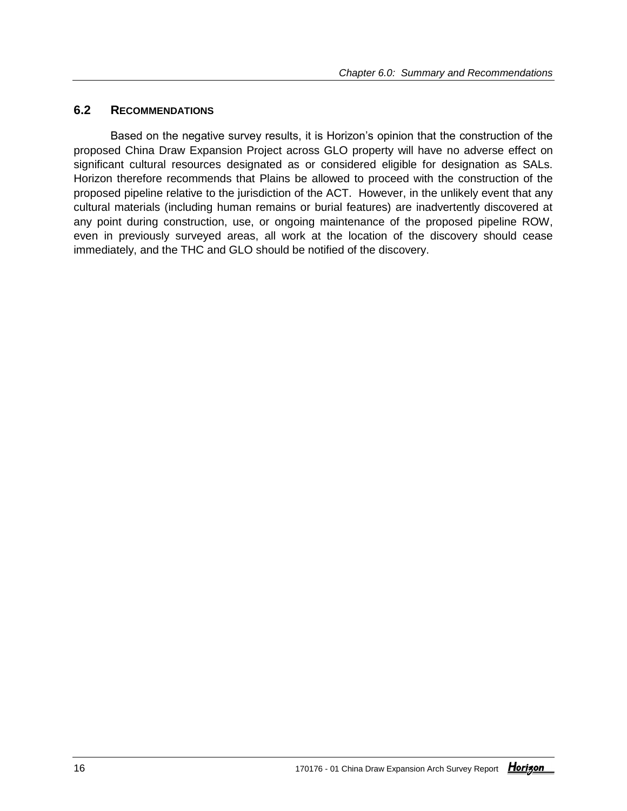#### <span id="page-27-0"></span>**6.2 RECOMMENDATIONS**

Based on the negative survey results, it is Horizon's opinion that the construction of the proposed China Draw Expansion Project across GLO property will have no adverse effect on significant cultural resources designated as or considered eligible for designation as SALs. Horizon therefore recommends that Plains be allowed to proceed with the construction of the proposed pipeline relative to the jurisdiction of the ACT. However, in the unlikely event that any cultural materials (including human remains or burial features) are inadvertently discovered at any point during construction, use, or ongoing maintenance of the proposed pipeline ROW, even in previously surveyed areas, all work at the location of the discovery should cease immediately, and the THC and GLO should be notified of the discovery.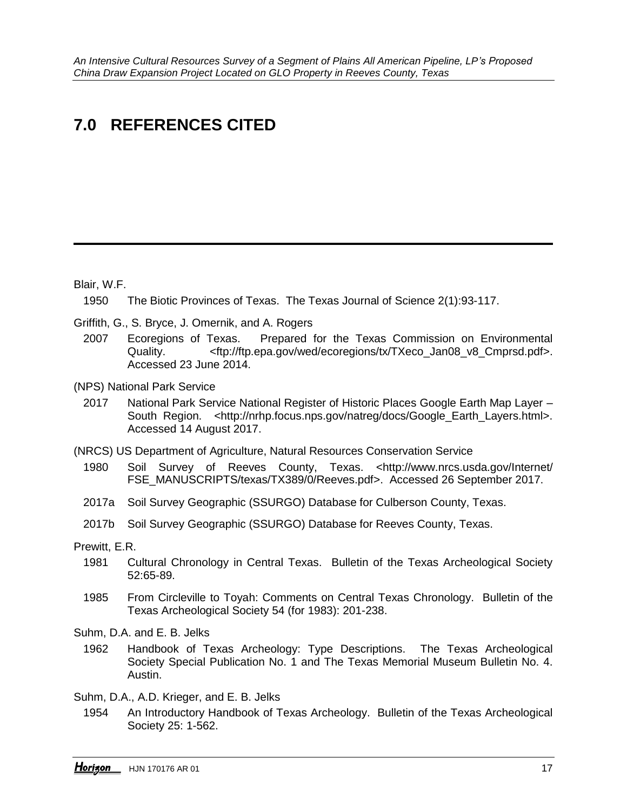### <span id="page-28-0"></span>**7.0 REFERENCES CITED**

#### Blair, W.F.

- 1950 The Biotic Provinces of Texas. The Texas Journal of Science 2(1):93-117.
- Griffith, G., S. Bryce, J. Omernik, and A. Rogers
	- 2007 Ecoregions of Texas. Prepared for the Texas Commission on Environmental Quality.  $\langle f|p\rangle/f\langle p|q\rangle = \langle q|q\rangle/2$  and  $\langle q|q\rangle$  and  $\langle q|q\rangle$  and  $\langle q|q\rangle$  and  $\langle q|q\rangle$  and  $\langle q|q\rangle$  and  $\langle q|q\rangle$  and  $\langle q|q\rangle$  and  $\langle q|q\rangle$  and  $\langle q|q\rangle$  and  $\langle q|q\rangle$  and  $\langle q|q\rangle$  and  $\langle q|q\rangle$  and  $\langle q|q\rangle$  an Accessed 23 June 2014.
- (NPS) National Park Service
	- 2017 National Park Service National Register of Historic Places Google Earth Map Layer South Region. <http://nrhp.focus.nps.gov/natreg/docs/Google\_Earth\_Layers.html>. Accessed 14 August 2017.
- (NRCS) US Department of Agriculture, Natural Resources Conservation Service
	- 1980 Soil Survey of Reeves County, Texas. <http://www.nrcs.usda.gov/Internet/ FSE\_MANUSCRIPTS/texas/TX389/0/Reeves.pdf>. Accessed 26 September 2017.
	- 2017a Soil Survey Geographic (SSURGO) Database for Culberson County, Texas.
	- 2017b Soil Survey Geographic (SSURGO) Database for Reeves County, Texas.

#### Prewitt, E.R.

- 1981 Cultural Chronology in Central Texas. Bulletin of the Texas Archeological Society 52:65-89.
- 1985 From Circleville to Toyah: Comments on Central Texas Chronology. Bulletin of the Texas Archeological Society 54 (for 1983): 201-238.
- Suhm, D.A. and E. B. Jelks
	- 1962 Handbook of Texas Archeology: Type Descriptions. The Texas Archeological Society Special Publication No. 1 and The Texas Memorial Museum Bulletin No. 4. Austin.

Suhm, D.A., A.D. Krieger, and E. B. Jelks

1954 An Introductory Handbook of Texas Archeology. Bulletin of the Texas Archeological Society 25: 1-562.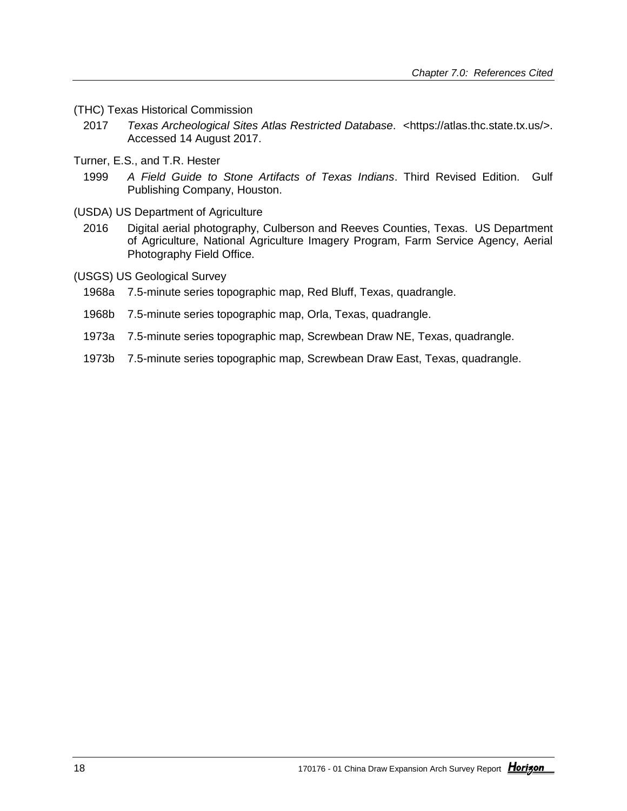- (THC) Texas Historical Commission
	- 2017 *Texas Archeological Sites Atlas Restricted Database*. <https://atlas.thc.state.tx.us/>. Accessed 14 August 2017.
- Turner, E.S., and T.R. Hester
	- 1999 *A Field Guide to Stone Artifacts of Texas Indians*. Third Revised Edition. Gulf Publishing Company, Houston.
- (USDA) US Department of Agriculture
	- 2016 Digital aerial photography, Culberson and Reeves Counties, Texas. US Department of Agriculture, National Agriculture Imagery Program, Farm Service Agency, Aerial Photography Field Office.
- (USGS) US Geological Survey
	- 1968a 7.5-minute series topographic map, Red Bluff, Texas, quadrangle.
	- 1968b 7.5-minute series topographic map, Orla, Texas, quadrangle.
	- 1973a 7.5-minute series topographic map, Screwbean Draw NE, Texas, quadrangle.
	- 1973b 7.5-minute series topographic map, Screwbean Draw East, Texas, quadrangle.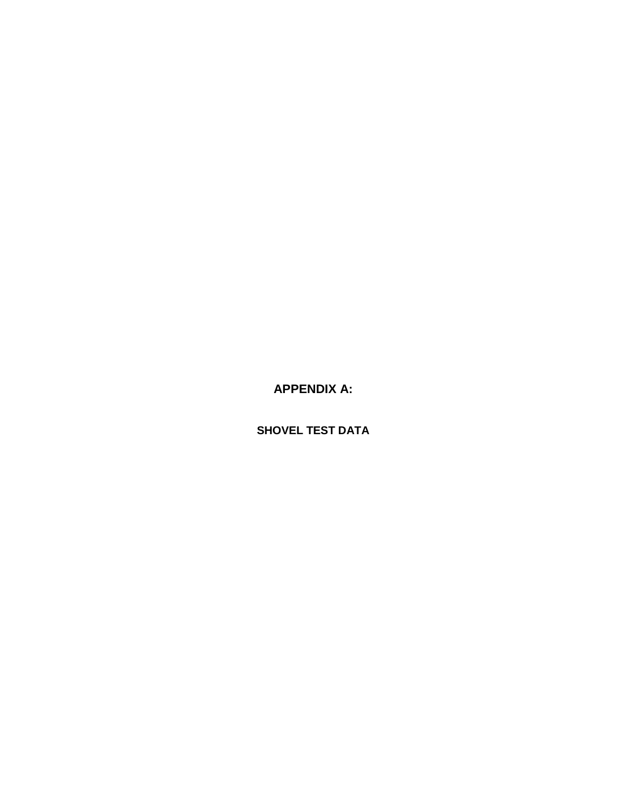**APPENDIX A:** 

<span id="page-30-0"></span>**SHOVEL TEST DATA**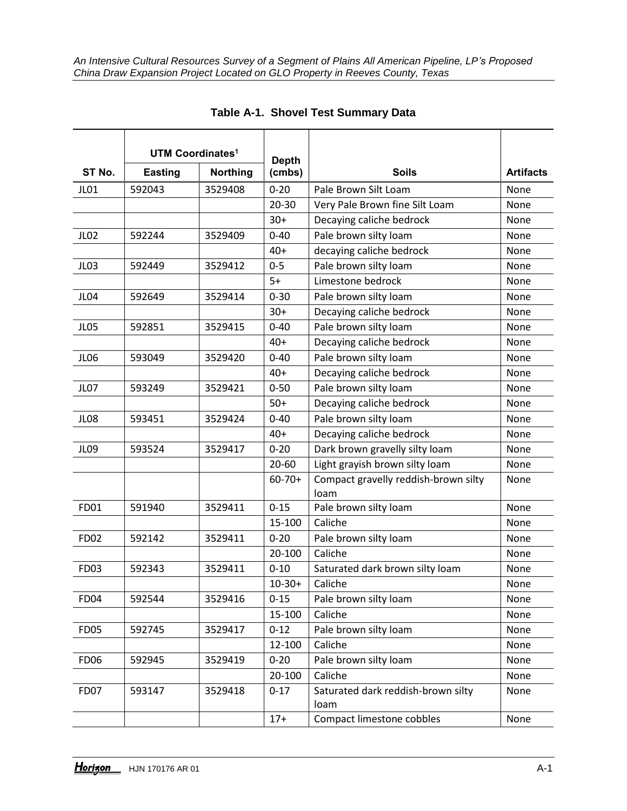|                  | UTM Coordinates <sup>1</sup> |          | <b>Depth</b> |                                              |                  |
|------------------|------------------------------|----------|--------------|----------------------------------------------|------------------|
| ST No.           | <b>Easting</b>               | Northing | (cmbs)       | <b>Soils</b>                                 | <b>Artifacts</b> |
| JL01             | 592043                       | 3529408  | $0 - 20$     | Pale Brown Silt Loam                         | None             |
|                  |                              |          | 20-30        | Very Pale Brown fine Silt Loam               | None             |
|                  |                              |          | $30+$        | Decaying caliche bedrock                     | None             |
| JL <sub>02</sub> | 592244                       | 3529409  | $0 - 40$     | Pale brown silty loam                        | None             |
|                  |                              |          | $40+$        | decaying caliche bedrock                     | None             |
| JL <sub>03</sub> | 592449                       | 3529412  | $0 - 5$      | Pale brown silty loam                        | None             |
|                  |                              |          | $5+$         | Limestone bedrock                            | None             |
| JL <sub>04</sub> | 592649                       | 3529414  | $0 - 30$     | Pale brown silty loam                        | None             |
|                  |                              |          | $30+$        | Decaying caliche bedrock                     | None             |
| <b>JL05</b>      | 592851                       | 3529415  | $0 - 40$     | Pale brown silty loam                        | None             |
|                  |                              |          | $40+$        | Decaying caliche bedrock                     | None             |
| JL <sub>06</sub> | 593049                       | 3529420  | $0 - 40$     | Pale brown silty loam                        | None             |
|                  |                              |          | $40+$        | Decaying caliche bedrock                     | None             |
| JL <sub>07</sub> | 593249                       | 3529421  | $0 - 50$     | Pale brown silty loam                        | None             |
|                  |                              |          | $50+$        | Decaying caliche bedrock                     | None             |
| JL <sub>08</sub> | 593451                       | 3529424  | $0 - 40$     | Pale brown silty loam                        | None             |
|                  |                              |          | $40+$        | Decaying caliche bedrock                     | None             |
| <b>JL09</b>      | 593524                       | 3529417  | $0 - 20$     | Dark brown gravelly silty loam               | None             |
|                  |                              |          | $20 - 60$    | Light grayish brown silty loam               | None             |
|                  |                              |          | $60 - 70 +$  | Compact gravelly reddish-brown silty<br>loam | None             |
| FD01             | 591940                       | 3529411  | $0 - 15$     | Pale brown silty loam                        | None             |
|                  |                              |          | 15-100       | Caliche                                      | None             |
| <b>FD02</b>      | 592142                       | 3529411  | $0 - 20$     | Pale brown silty loam                        | None             |
|                  |                              |          | 20-100       | Caliche                                      | None             |
| <b>FD03</b>      | 592343                       | 3529411  | $0 - 10$     | Saturated dark brown silty loam              | None             |
|                  |                              |          | $10-30+$     | Caliche                                      | None             |
| <b>FD04</b>      | 592544                       | 3529416  | $0 - 15$     | Pale brown silty loam                        | None             |
|                  |                              |          | 15-100       | Caliche                                      | None             |
| <b>FD05</b>      | 592745                       | 3529417  | $0 - 12$     | Pale brown silty loam                        | None             |
|                  |                              |          | 12-100       | Caliche                                      | None             |
| <b>FD06</b>      | 592945                       | 3529419  | $0 - 20$     | Pale brown silty loam                        | None             |
|                  |                              |          | 20-100       | Caliche                                      | None             |
| FD07             | 593147                       | 3529418  | $0 - 17$     | Saturated dark reddish-brown silty<br>loam   | None             |
|                  |                              |          | $17+$        | Compact limestone cobbles                    | None             |

**Table A-1. Shovel Test Summary Data**